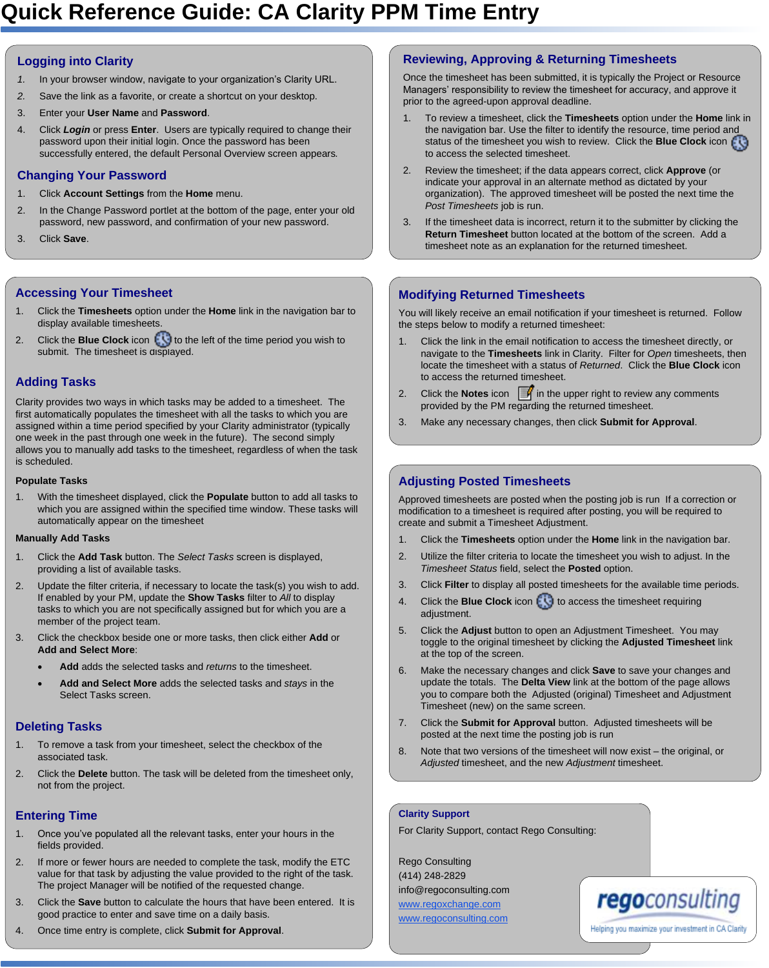# **Quick Reference Guide: CA Clarity PPM Time Entry**

#### **Logging into Clarity**

- *1.* In your browser window, navigate to your organization's Clarity URL.
- *2.* Save the link as a favorite, or create a shortcut on your desktop.
- 3. Enter your **User Name** and **Password**.
- 4. Click *Login* or press **Enter**. Users are typically required to change their password upon their initial login. Once the password has been successfully entered, the default Personal Overview screen appears*.*

#### **Changing Your Password**

- 1. Click **Account Settings** from the **Home** menu.
- 2. In the Change Password portlet at the bottom of the page, enter your old password, new password, and confirmation of your new password.
- 3. Click **Save**.

#### **Accessing Your Timesheet**

- 1. Click the **Timesheets** option under the **Home** link in the navigation bar to display available timesheets.
- 2. Click the **Blue Clock** icon the the left of the time period you wish to submit. The timesheet is displayed.

### **Adding Tasks**

Clarity provides two ways in which tasks may be added to a timesheet. The first automatically populates the timesheet with all the tasks to which you are assigned within a time period specified by your Clarity administrator (typically one week in the past through one week in the future). The second simply allows you to manually add tasks to the timesheet, regardless of when the task is scheduled.

#### **Populate Tasks**

1. With the timesheet displayed, click the **Populate** button to add all tasks to which you are assigned within the specified time window. These tasks will automatically appear on the timesheet

#### **Manually Add Tasks**

- 1. Click the **Add Task** button. The *Select Tasks* screen is displayed, providing a list of available tasks.
- 2. Update the filter criteria, if necessary to locate the task(s) you wish to add. If enabled by your PM, update the **Show Tasks** filter to *All* to display tasks to which you are not specifically assigned but for which you are a member of the project team.
- 3. Click the checkbox beside one or more tasks, then click either **Add** or **Add and Select More**:
	- Add adds the selected tasks and *returns* to the timesheet.
	- · **Add and Select More** adds the selected tasks and *stays* in the Select Tasks screen.

#### **Deleting Tasks**

- To remove a task from your timesheet, select the checkbox of the associated task.
- 2. Click the **Delete** button. The task will be deleted from the timesheet only, not from the project.

### **Entering Time**

- 1. Once you've populated all the relevant tasks, enter your hours in the fields provided.
- 2. If more or fewer hours are needed to complete the task, modify the ETC value for that task by adjusting the value provided to the right of the task. The project Manager will be notified of the requested change.
- 3. Click the **Save** button to calculate the hours that have been entered. It is good practice to enter and save time on a daily basis.
- 4. Once time entry is complete, click **Submit for Approval**.

# **Reviewing, Approving & Returning Timesheets**

Once the timesheet has been submitted, it is typically the Project or Resource Managers' responsibility to review the timesheet for accuracy, and approve it prior to the agreed-upon approval deadline.

- 1. To review a timesheet, click the **Timesheets** option under the **Home** link in the navigation bar. Use the filter to identify the resource, time period and status of the timesheet you wish to review. Click the **Blue Clock** icon to access the selected timesheet.
- 2. Review the timesheet; if the data appears correct, click **Approve** (or indicate your approval in an alternate method as dictated by your organization). The approved timesheet will be posted the next time the *Post Timesheets* job is run.
- 3. If the timesheet data is incorrect, return it to the submitter by clicking the **Return Timesheet** button located at the bottom of the screen. Add a timesheet note as an explanation for the returned timesheet.

## **Modifying Returned Timesheets**

You will likely receive an email notification if your timesheet is returned. Follow the steps below to modify a returned timesheet:

- 1. Click the link in the email notification to access the timesheet directly, or navigate to the **Timesheets** link in Clarity. Filter for *Open* timesheets, then locate the timesheet with a status of *Returned*. Click the **Blue Clock** icon to access the returned timesheet.
- 2. Click the **Notes** icon  $\mathbb{F}$  in the upper right to review any comments provided by the PM regarding the returned timesheet.
- 3. Make any necessary changes, then click **Submit for Approval**.

# **Adjusting Posted Timesheets**

Approved timesheets are posted when the posting job is run If a correction or modification to a timesheet is required after posting, you will be required to create and submit a Timesheet Adjustment.

- 1. Click the **Timesheets** option under the **Home** link in the navigation bar.
- 2. Utilize the filter criteria to locate the timesheet you wish to adjust. In the *Timesheet Status* field, select the **Posted** option.
- 3. Click **Filter** to display all posted timesheets for the available time periods.
- 4. Click the **Blue Clock** icon **the access the timesheet requiring** adjustment.
- 5. Click the **Adjust** button to open an Adjustment Timesheet. You may toggle to the original timesheet by clicking the **Adjusted Timesheet** link at the top of the screen.
- 6. Make the necessary changes and click **Save** to save your changes and update the totals. The **Delta View** link at the bottom of the page allows you to compare both the Adjusted (original) Timesheet and Adjustment Timesheet (new) on the same screen.
- 7. Click the **Submit for Approval** button. Adjusted timesheets will be posted at the next time the posting job is run
- 8. Note that two versions of the timesheet will now exist the original, or *Adjusted* timesheet, and the new *Adjustment* timesheet.

#### **Clarity Support**

For Clarity Support, contact Rego Consulting:

Rego Consulting (414) 248-2829 info@regoconsulting.com www.regoxchange.com www.regoconsulting.com